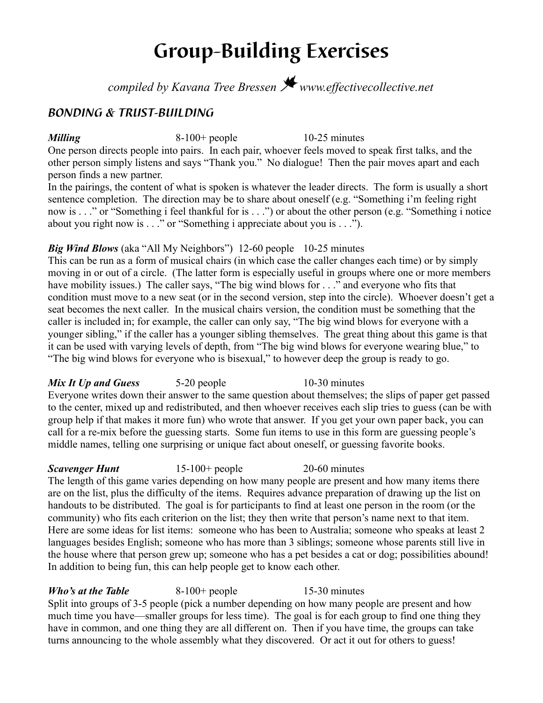# **Group-Building Exercises**

*compiled by Kavana Tree Bressen* J *www.effectivecollective.net*

# *BONDING & TRUST-BUILDING*

*Milling* 8-100+ people 10-25 minutes

One person directs people into pairs. In each pair, whoever feels moved to speak first talks, and the other person simply listens and says "Thank you." No dialogue! Then the pair moves apart and each person finds a new partner.

In the pairings, the content of what is spoken is whatever the leader directs. The form is usually a short sentence completion. The direction may be to share about oneself (e.g. "Something i'm feeling right now is . . ." or "Something i feel thankful for is . . .") or about the other person (e.g. "Something i notice about you right now is . . ." or "Something i appreciate about you is . . .").

# *Big Wind Blows* (aka "All My Neighbors") 12-60 people 10-25 minutes

This can be run as a form of musical chairs (in which case the caller changes each time) or by simply moving in or out of a circle. (The latter form is especially useful in groups where one or more members have mobility issues.) The caller says, "The big wind blows for . . ." and everyone who fits that condition must move to a new seat (or in the second version, step into the circle). Whoever doesn't get a seat becomes the next caller. In the musical chairs version, the condition must be something that the caller is included in; for example, the caller can only say, "The big wind blows for everyone with a younger sibling," if the caller has a younger sibling themselves. The great thing about this game is that it can be used with varying levels of depth, from "The big wind blows for everyone wearing blue," to "The big wind blows for everyone who is bisexual," to however deep the group is ready to go.

*Mix It Up and Guess* 5-20 people 5-20 10-30 minutes Everyone writes down their answer to the same question about themselves; the slips of paper get passed to the center, mixed up and redistributed, and then whoever receives each slip tries to guess (can be with group help if that makes it more fun) who wrote that answer. If you get your own paper back, you can call for a re-mix before the guessing starts. Some fun items to use in this form are guessing people's middle names, telling one surprising or unique fact about oneself, or guessing favorite books.

**Scavenger Hunt** 15-100+ people 20-60 minutes The length of this game varies depending on how many people are present and how many items there are on the list, plus the difficulty of the items. Requires advance preparation of drawing up the list on handouts to be distributed. The goal is for participants to find at least one person in the room (or the community) who fits each criterion on the list; they then write that person's name next to that item. Here are some ideas for list items: someone who has been to Australia; someone who speaks at least 2 languages besides English; someone who has more than 3 siblings; someone whose parents still live in the house where that person grew up; someone who has a pet besides a cat or dog; possibilities abound! In addition to being fun, this can help people get to know each other.

*Who's at the Table* 8-100+ people 15-30 minutes Split into groups of 3-5 people (pick a number depending on how many people are present and how much time you have—smaller groups for less time). The goal is for each group to find one thing they have in common, and one thing they are all different on. Then if you have time, the groups can take turns announcing to the whole assembly what they discovered. Or act it out for others to guess!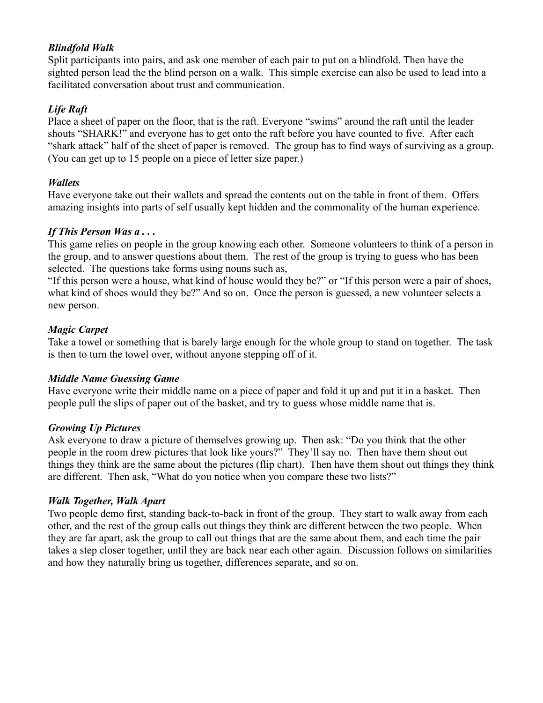# *Blindfold Walk*

Split participants into pairs, and ask one member of each pair to put on a blindfold. Then have the sighted person lead the the blind person on a walk. This simple exercise can also be used to lead into a facilitated conversation about trust and communication.

# *Life Raft*

Place a sheet of paper on the floor, that is the raft. Everyone "swims" around the raft until the leader shouts "SHARK!" and everyone has to get onto the raft before you have counted to five. After each "shark attack" half of the sheet of paper is removed. The group has to find ways of surviving as a group. (You can get up to 15 people on a piece of letter size paper.)

# *Wallets*

Have everyone take out their wallets and spread the contents out on the table in front of them. Offers amazing insights into parts of self usually kept hidden and the commonality of the human experience.

# *If This Person Was a . . .*

This game relies on people in the group knowing each other. Someone volunteers to think of a person in the group, and to answer questions about them. The rest of the group is trying to guess who has been selected. The questions take forms using nouns such as,

"If this person were a house, what kind of house would they be?" or "If this person were a pair of shoes, what kind of shoes would they be?" And so on. Once the person is guessed, a new volunteer selects a new person.

# *Magic Carpet*

Take a towel or something that is barely large enough for the whole group to stand on together. The task is then to turn the towel over, without anyone stepping off of it.

### *Middle Name Guessing Game*

Have everyone write their middle name on a piece of paper and fold it up and put it in a basket. Then people pull the slips of paper out of the basket, and try to guess whose middle name that is.

### *Growing Up Pictures*

Ask everyone to draw a picture of themselves growing up. Then ask: "Do you think that the other people in the room drew pictures that look like yours?" They'll say no. Then have them shout out things they think are the same about the pictures (flip chart). Then have them shout out things they think are different. Then ask, "What do you notice when you compare these two lists?"

### *Walk Together, Walk Apart*

Two people demo first, standing back-to-back in front of the group. They start to walk away from each other, and the rest of the group calls out things they think are different between the two people. When they are far apart, ask the group to call out things that are the same about them, and each time the pair takes a step closer together, until they are back near each other again. Discussion follows on similarities and how they naturally bring us together, differences separate, and so on.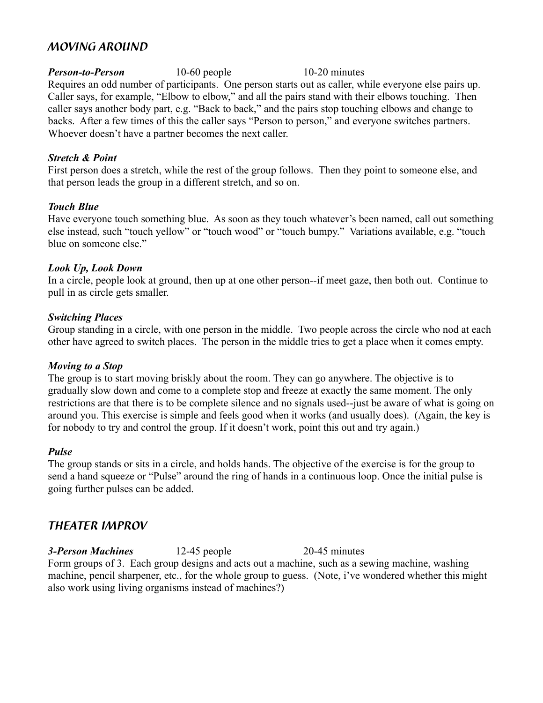# *MOVING AROUND*

*Person-to-Person* 10-60 people 10-20 minutes Requires an odd number of participants. One person starts out as caller, while everyone else pairs up. Caller says, for example, "Elbow to elbow," and all the pairs stand with their elbows touching. Then caller says another body part, e.g. "Back to back," and the pairs stop touching elbows and change to backs. After a few times of this the caller says "Person to person," and everyone switches partners. Whoever doesn't have a partner becomes the next caller.

#### *Stretch & Point*

First person does a stretch, while the rest of the group follows. Then they point to someone else, and that person leads the group in a different stretch, and so on.

#### *Touch Blue*

Have everyone touch something blue. As soon as they touch whatever's been named, call out something else instead, such "touch yellow" or "touch wood" or "touch bumpy." Variations available, e.g. "touch blue on someone else."

#### *Look Up, Look Down*

In a circle, people look at ground, then up at one other person--if meet gaze, then both out. Continue to pull in as circle gets smaller.

#### *Switching Places*

Group standing in a circle, with one person in the middle. Two people across the circle who nod at each other have agreed to switch places. The person in the middle tries to get a place when it comes empty.

#### *Moving to a Stop*

The group is to start moving briskly about the room. They can go anywhere. The objective is to gradually slow down and come to a complete stop and freeze at exactly the same moment. The only restrictions are that there is to be complete silence and no signals used--just be aware of what is going on around you. This exercise is simple and feels good when it works (and usually does). (Again, the key is for nobody to try and control the group. If it doesn't work, point this out and try again.)

#### *Pulse*

The group stands or sits in a circle, and holds hands. The objective of the exercise is for the group to send a hand squeeze or "Pulse" around the ring of hands in a continuous loop. Once the initial pulse is going further pulses can be added.

# *THEATER IMPROV*

*3-Person Machines* 12-45 people 20-45 minutes Form groups of 3. Each group designs and acts out a machine, such as a sewing machine, washing machine, pencil sharpener, etc., for the whole group to guess. (Note, i've wondered whether this might also work using living organisms instead of machines?)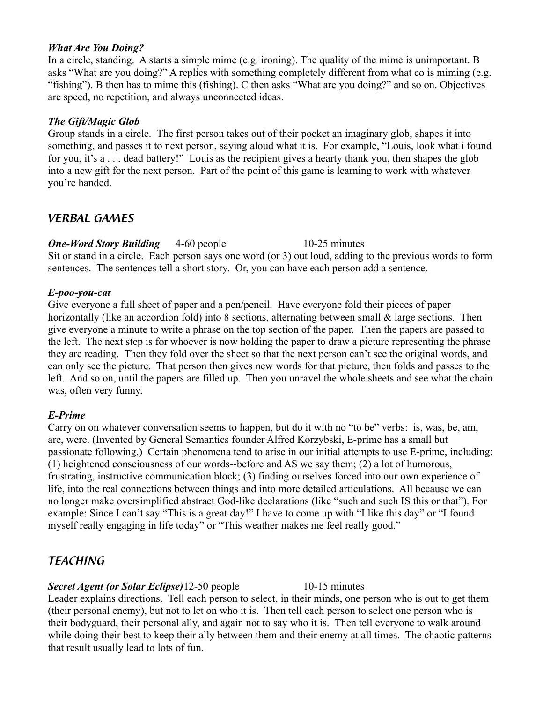#### *What Are You Doing?*

In a circle, standing. A starts a simple mime (e.g. ironing). The quality of the mime is unimportant. B asks "What are you doing?" A replies with something completely different from what co is miming (e.g. "fishing"). B then has to mime this (fishing). C then asks "What are you doing?" and so on. Objectives are speed, no repetition, and always unconnected ideas.

### *The Gift/Magic Glob*

Group stands in a circle. The first person takes out of their pocket an imaginary glob, shapes it into something, and passes it to next person, saying aloud what it is. For example, "Louis, look what i found for you, it's a . . . dead battery!" Louis as the recipient gives a hearty thank you, then shapes the glob into a new gift for the next person. Part of the point of this game is learning to work with whatever you're handed.

# *VERBAL GAMES*

*One-Word Story Building* 4-60 people 10-25 minutes Sit or stand in a circle. Each person says one word (or 3) out loud, adding to the previous words to form sentences. The sentences tell a short story. Or, you can have each person add a sentence.

### *E-poo-you-cat*

Give everyone a full sheet of paper and a pen/pencil. Have everyone fold their pieces of paper horizontally (like an accordion fold) into 8 sections, alternating between small & large sections. Then give everyone a minute to write a phrase on the top section of the paper. Then the papers are passed to the left. The next step is for whoever is now holding the paper to draw a picture representing the phrase they are reading. Then they fold over the sheet so that the next person can't see the original words, and can only see the picture. That person then gives new words for that picture, then folds and passes to the left. And so on, until the papers are filled up. Then you unravel the whole sheets and see what the chain was, often very funny.

### *E-Prime*

Carry on on whatever conversation seems to happen, but do it with no "to be" verbs: is, was, be, am, are, were. (Invented by General Semantics founder Alfred Korzybski, E-prime has a small but passionate following.) Certain phenomena tend to arise in our initial attempts to use E-prime, including: (1) heightened consciousness of our words--before and AS we say them; (2) a lot of humorous, frustrating, instructive communication block; (3) finding ourselves forced into our own experience of life, into the real connections between things and into more detailed articulations. All because we can no longer make oversimplified abstract God-like declarations (like "such and such IS this or that"). For example: Since I can't say "This is a great day!" I have to come up with "I like this day" or "I found myself really engaging in life today" or "This weather makes me feel really good."

# *TEACHING*

# **Secret Agent (or Solar Eclipse)** 12-50 people 10-15 minutes

Leader explains directions. Tell each person to select, in their minds, one person who is out to get them (their personal enemy), but not to let on who it is. Then tell each person to select one person who is their bodyguard, their personal ally, and again not to say who it is. Then tell everyone to walk around while doing their best to keep their ally between them and their enemy at all times. The chaotic patterns that result usually lead to lots of fun.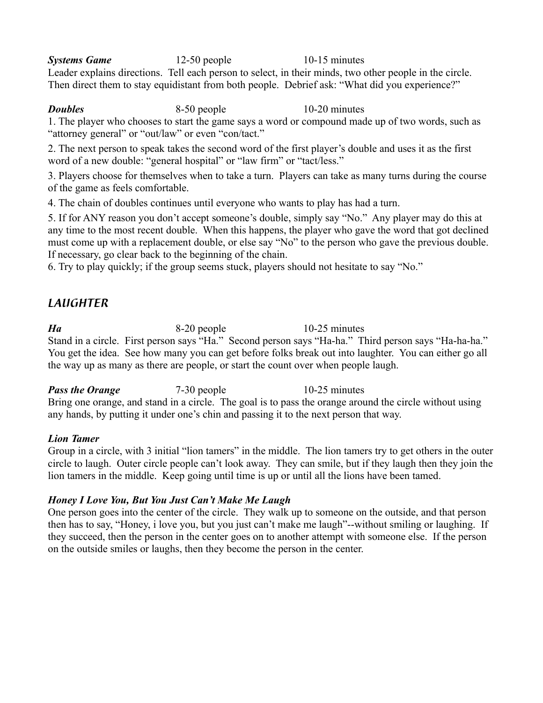**Systems Game** 12-50 people 10-15 minutes Leader explains directions. Tell each person to select, in their minds, two other people in the circle. Then direct them to stay equidistant from both people. Debrief ask: "What did you experience?"

*Doubles* 8-50 people 10-20 minutes

1. The player who chooses to start the game says a word or compound made up of two words, such as "attorney general" or "out/law" or even "con/tact."

2. The next person to speak takes the second word of the first player's double and uses it as the first word of a new double: "general hospital" or "law firm" or "tact/less."

3. Players choose for themselves when to take a turn. Players can take as many turns during the course of the game as feels comfortable.

4. The chain of doubles continues until everyone who wants to play has had a turn.

5. If for ANY reason you don't accept someone's double, simply say "No." Any player may do this at any time to the most recent double. When this happens, the player who gave the word that got declined must come up with a replacement double, or else say "No" to the person who gave the previous double. If necessary, go clear back to the beginning of the chain.

6. Try to play quickly; if the group seems stuck, players should not hesitate to say "No."

# *LAUGHTER*

*Ha* 8-20 people 10-25 minutes Stand in a circle. First person says "Ha." Second person says "Ha-ha." Third person says "Ha-ha-ha." You get the idea. See how many you can get before folks break out into laughter. You can either go all the way up as many as there are people, or start the count over when people laugh.

*Pass the Orange* 7-30 people 10-25 minutes Bring one orange, and stand in a circle. The goal is to pass the orange around the circle without using any hands, by putting it under one's chin and passing it to the next person that way.

# *Lion Tamer*

Group in a circle, with 3 initial "lion tamers" in the middle. The lion tamers try to get others in the outer circle to laugh. Outer circle people can't look away. They can smile, but if they laugh then they join the lion tamers in the middle. Keep going until time is up or until all the lions have been tamed.

# *Honey I Love You, But You Just Can't Make Me Laugh*

One person goes into the center of the circle. They walk up to someone on the outside, and that person then has to say, "Honey, i love you, but you just can't make me laugh"--without smiling or laughing. If they succeed, then the person in the center goes on to another attempt with someone else. If the person on the outside smiles or laughs, then they become the person in the center.